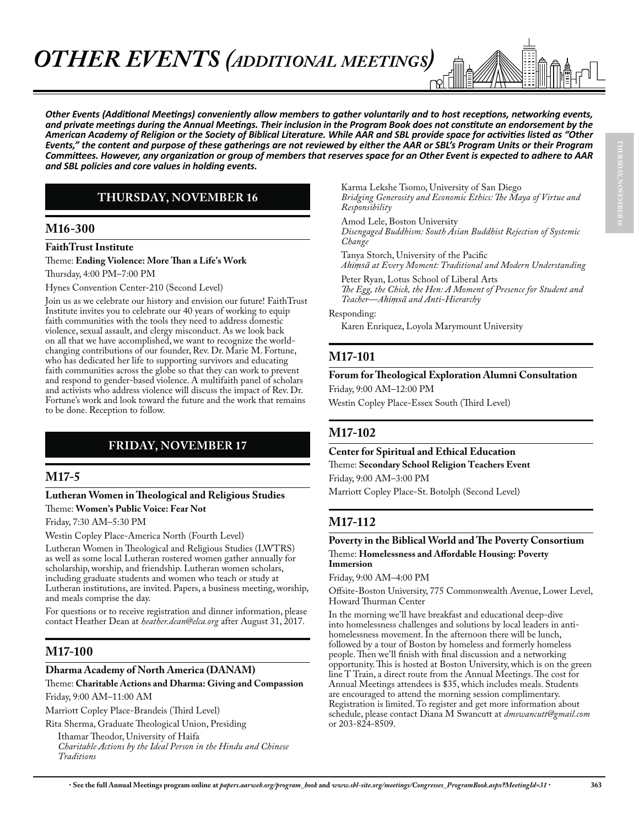

Other Events (Additional Meetings) conveniently allow members to gather voluntarily and to host receptions, networking events, and private meetings during the Annual Meetings. Their inclusion in the Program Book does not constitute an endorsement by the American Academy of Religion or the Society of Biblical Literature. While AAR and SBL provide space for activities listed as "Other *<i>Events,*<sup>*i*</sup> the content and purpose of these gatherings are not reviewed by either the AAR or SBL's Program Units or their Program *Committees. However, any organization or group of members that reserves space for an Other Event is expected to adhere to AAR* and SBL policies and core values in holding events.

## **THURSDAY, NOVEMBER 16**

## **M16-300**

#### **FaithTrust Institute**

Theme: **Ending Violence: More Than a Life's Work**

Thursday, 4:00 PM–7:00 PM

Hynes Convention Center-210 (Second Level)

Join us as we celebrate our history and envision our future! FaithTrust Institute invites you to celebrate our 40 years of working to equip faith communities with the tools they need to address domestic violence, sexual assault, and clergy misconduct. As we look back on all that we have accomplished, we want to recognize the worldchanging contributions of our founder, Rev. Dr. Marie M. Fortune, who has dedicated her life to supporting survivors and educating faith communities across the globe so that they can work to prevent and respond to gender-based violence. A multifaith panel of scholars and activists who address violence will discuss the impact of Rev. Dr. Fortune's work and look toward the future and the work that remains to be done. Reception to follow.

## **FRIDAY, NOVEMBER 17**

## **M17-5**

#### **Lutheran Women in Theological and Religious Studies** Theme: **Women's Public Voice: Fear Not**

Friday, 7:30 AM–5:30 PM

Westin Copley Place-America North (Fourth Level)

Lutheran Women in Theological and Religious Studies (LWTRS) as well as some local Lutheran rostered women gather annually for scholarship, worship, and friendship. Lutheran women scholars, including graduate students and women who teach or study at Lutheran institutions, are invited. Papers, a business meeting, worship, and meals comprise the day.

For questions or to receive registration and dinner information, please contact Heather Dean at *heather.dean@elca.org* after August 31, 2017.

## **M17-100**

#### **Dharma Academy of North America (DANAM)**

Theme: **Charitable Actions and Dharma: Giving and Compassion** Friday, 9:00 AM–11:00 AM

Marriott Copley Place-Brandeis (Third Level)

Rita Sherma, Graduate Theological Union, Presiding

Ithamar Theodor, University of Haifa *Charitable Actions by the Ideal Person in the Hindu and Chinese Traditions*

Karma Lekshe Tsomo, University of San Diego *Bridging Generosity and Economic Ethics: The Maya of Virtue and Responsibility*

Amod Lele, Boston University *Disengaged Buddhism: South Asian Buddhist Rejection of Systemic Change*

Tanya Storch, University of the Pacific

*Ahimsā at Every Moment: Traditional and Modern Understanding* 

Peter Ryan, Lotus School of Liberal Arts *The Egg, the Chick, the Hen: A Moment of Presence for Student and Teacher—Ahimsā and Anti-Hierarchy* 

Responding:

Karen Enriquez, Loyola Marymount University

## **M17-101**

#### **Forum for Theological Exploration Alumni Consultation**

Friday, 9:00 AM–12:00 PM

Westin Copley Place-Essex South (Third Level)

## **M17-102**

**Center for Spiritual and Ethical Education** Theme: **Secondary School Religion Teachers Event** Friday, 9:00 AM–3:00 PM

Marriott Copley Place-St. Botolph (Second Level)

## **M17-112**

#### **Poverty in the Biblical World and The Poverty Consortium** Theme: **Homelessness and Affordable Housing: Poverty Immersion**

Friday, 9:00 AM–4:00 PM

Offsite-Boston University, 775 Commonwealth Avenue, Lower Level, Howard Thurman Center

In the morning we'll have breakfast and educational deep-dive into homelessness challenges and solutions by local leaders in antihomelessness movement. In the afternoon there will be lunch, followed by a tour of Boston by homeless and formerly homeless people. Then we'll finish with final discussion and a networking opportunity. This is hosted at Boston University, which is on the green line T Train, a direct route from the Annual Meetings. The cost for Annual Meetings attendees is \$35, which includes meals. Students are encouraged to attend the morning session complimentary. Registration is limited. To register and get more information about schedule, please contact Diana M Swancutt at *dmswancutt@gmail.com* or 203-824-8509.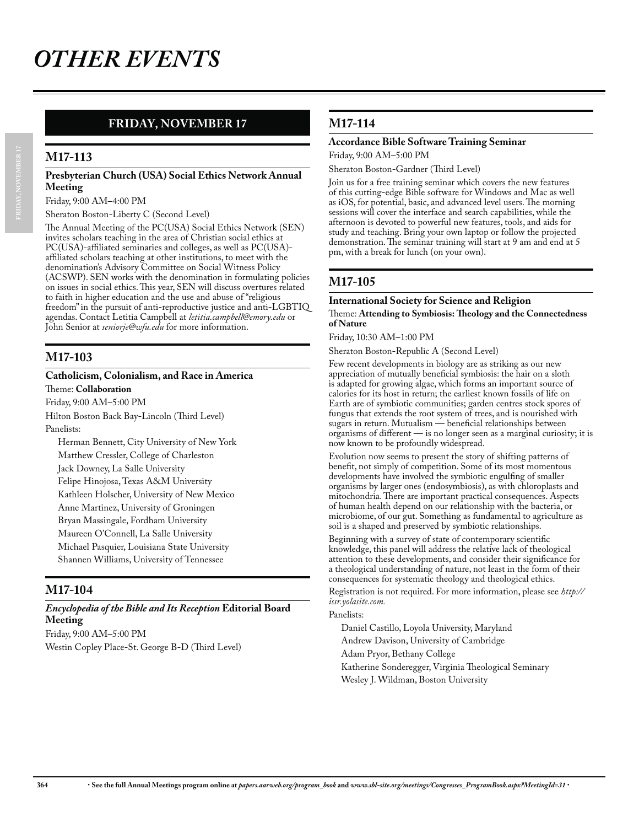## **FRIDAY, NOVEMBER 17**

## **M17-113**

#### **Presbyterian Church (USA) Social Ethics Network Annual Meeting**

Friday, 9:00 AM–4:00 PM

Sheraton Boston-Liberty C (Second Level)

The Annual Meeting of the PC(USA) Social Ethics Network (SEN) invites scholars teaching in the area of Christian social ethics at PC(USA)-affiliated seminaries and colleges, as well as PC(USA) affiliated scholars teaching at other institutions, to meet with the denomination's Advisory Committee on Social Witness Policy (ACSWP). SEN works with the denomination in formulating policies on issues in social ethics. This year, SEN will discuss overtures related to faith in higher education and the use and abuse of "religious freedom" in the pursuit of anti-reproductive justice and anti-LGBTIQ agendas. Contact Letitia Campbell at *letitia.campbell@emory.edu* or John Senior at *seniorje@wfu.edu* for more information.

## **M17-103**

#### **Catholicism, Colonialism, and Race in America**

Theme: **Collaboration**

Friday, 9:00 AM–5:00 PM Hilton Boston Back Bay-Lincoln (Third Level) Panelists:

Herman Bennett, City University of New York Matthew Cressler, College of Charleston Jack Downey, La Salle University Felipe Hinojosa, Texas A&M University Kathleen Holscher, University of New Mexico Anne Martinez, University of Groningen Bryan Massingale, Fordham University Maureen O'Connell, La Salle University Michael Pasquier, Louisiana State University Shannen Williams, University of Tennessee

## **M17-104**

## *Encyclopedia of the Bible and Its Reception* **Editorial Board Meeting**

Friday, 9:00 AM–5:00 PM Westin Copley Place-St. George B-D (Third Level)

## **M17-114**

#### **Accordance Bible Software Training Seminar**

Friday, 9:00 AM–5:00 PM

Sheraton Boston-Gardner (Third Level)

Join us for a free training seminar which covers the new features of this cutting-edge Bible software for Windows and Mac as well as iOS, for potential, basic, and advanced level users. The morning sessions will cover the interface and search capabilities, while the afternoon is devoted to powerful new features, tools, and aids for study and teaching. Bring your own laptop or follow the projected demonstration. The seminar training will start at 9 am and end at 5 pm, with a break for lunch (on your own).

## **M17-105**

#### **International Society for Science and Religion**

#### Theme: **Attending to Symbiosis: Theology and the Connectedness of Nature**

Friday, 10:30 AM–1:00 PM

Sheraton Boston-Republic A (Second Level)

Few recent developments in biology are as striking as our new appreciation of mutually beneficial symbiosis: the hair on a sloth is adapted for growing algae, which forms an important source of calories for its host in return; the earliest known fossils of life on Earth are of symbiotic communities; garden centres stock spores of fungus that extends the root system of trees, and is nourished with sugars in return. Mutualism — beneficial relationships between organisms of different — is no longer seen as a marginal curiosity; it is now known to be profoundly widespread.

Evolution now seems to present the story of shifting patterns of benefit, not simply of competition. Some of its most momentous developments have involved the symbiotic engulfing of smaller organisms by larger ones (endosymbiosis), as with chloroplasts and mitochondria. There are important practical consequences. Aspects of human health depend on our relationship with the bacteria, or microbiome, of our gut. Something as fundamental to agriculture as soil is a shaped and preserved by symbiotic relationships.

Beginning with a survey of state of contemporary scientific knowledge, this panel will address the relative lack of theological attention to these developments, and consider their significance for a theological understanding of nature, not least in the form of their consequences for systematic theology and theological ethics.

Registration is not required. For more information, please see *http:// issr.yolasite.com.*

#### Panelists:

Daniel Castillo, Loyola University, Maryland Andrew Davison, University of Cambridge Adam Pryor, Bethany College Katherine Sonderegger, Virginia Theological Seminary Wesley J. Wildman, Boston University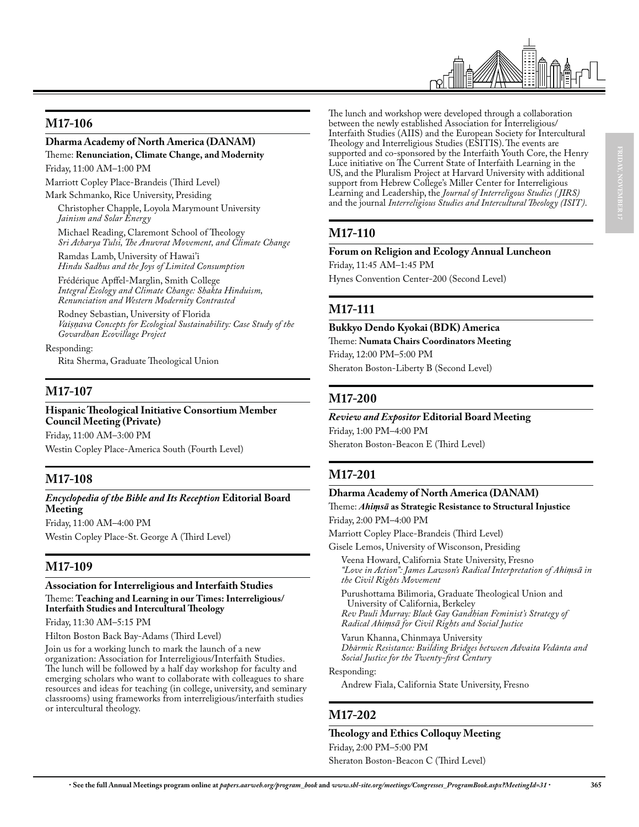

## **M17-106**

#### **Dharma Academy of North America (DANAM)**

Theme: **Renunciation, Climate Change, and Modernity** Friday, 11:00 AM–1:00 PM

Marriott Copley Place-Brandeis (Third Level)

Mark Schmanko, Rice University, Presiding

Christopher Chapple, Loyola Marymount University *Jainism and Solar Energy*

Michael Reading, Claremont School of Theology *Sri Acharya Tulsi, The Anuvrat Movement, and Climate Change*

Ramdas Lamb, University of Hawai'i *Hindu Sadhus and the Joys of Limited Consumption*

Frédérique Apffel-Marglin, Smith College *Integral Ecology and Climate Change: Shakta Hinduism, Renunciation and Western Modernity Contrasted*

Rodney Sebastian, University of Florida Vaisnava Concepts for Ecological Sustainability: Case Study of the *Govardhan Ecovillage Project*

Responding: Rita Sherma, Graduate Theological Union

## **M17-107**

#### **Hispanic Theological Initiative Consortium Member Council Meeting (Private)**

Friday, 11:00 AM–3:00 PM Westin Copley Place-America South (Fourth Level)

## **M17-108**

#### *Encyclopedia of the Bible and Its Reception* **Editorial Board Meeting**

Friday, 11:00 AM–4:00 PM Westin Copley Place-St. George A (Third Level)

## **M17-109**

## **Association for Interreligious and Interfaith Studies**

Theme: **Teaching and Learning in our Times: Interreligious/ Interfaith Studies and Intercultural Theology**

Friday, 11:30 AM–5:15 PM

Hilton Boston Back Bay-Adams (Third Level)

Join us for a working lunch to mark the launch of a new organization: Association for Interreligious/Interfaith Studies. The lunch will be followed by a half day workshop for faculty and emerging scholars who want to collaborate with colleagues to share resources and ideas for teaching (in college, university, and seminary classrooms) using frameworks from interreligious/interfaith studies or intercultural theology.

The lunch and workshop were developed through a collaboration between the newly established Association for Interreligious/ Interfaith Studies (AIIS) and the European Society for Intercultural Theology and Interreligious Studies (ESITIS). The events are supported and co-sponsored by the Interfaith Youth Core, the Henry Luce initiative on The Current State of Interfaith Learning in the US, and the Pluralism Project at Harvard University with additional support from Hebrew College's Miller Center for Interreligious Learning and Leadership, the *Journal of Interreligous Studies ( JIRS)* and the journal *Interreligious Studies and Intercultural Theology (ISIT)*.

## **M17-110**

#### **Forum on Religion and Ecology Annual Luncheon**

Friday, 11:45 AM–1:45 PM Hynes Convention Center-200 (Second Level)

## **M17-111**

**Bukkyo Dendo Kyokai (BDK) America** Theme: **Numata Chairs Coordinators Meeting** Friday, 12:00 PM–5:00 PM Sheraton Boston-Liberty B (Second Level)

## **M17-200**

## *Review and Expositor* **Editorial Board Meeting**

Friday, 1:00 PM–4:00 PM Sheraton Boston-Beacon E (Third Level)

## **M17-201**

#### **Dharma Academy of North America (DANAM)**

Theme: *Ahimsū* as Strategic Resistance to Structural Injustice Friday, 2:00 PM–4:00 PM

Marriott Copley Place-Brandeis (Third Level)

Gisele Lemos, University of Wisconson, Presiding

Veena Howard, California State University, Fresno *"Love in Action": James Lawson's Radical Interpretation of Ahimsā in the Civil Rights Movement*

Purushottama Bilimoria, Graduate Theological Union and University of California, Berkeley *Rev Pauli Murray: Black Gay Gandhian Feminist's Strategy of Radical Ahimsā for Civil Rights and Social Justice* 

Varun Khanna, Chinmaya University *Dhārmic Resistance: Building Bridges between Advaita Vedānta and Social Justice for the Twenty-first Century*

#### Responding:

Andrew Fiala, California State University, Fresno

## **M17-202**

#### **Theology and Ethics Colloquy Meeting**

Friday, 2:00 PM–5:00 PM Sheraton Boston-Beacon C (Third Level)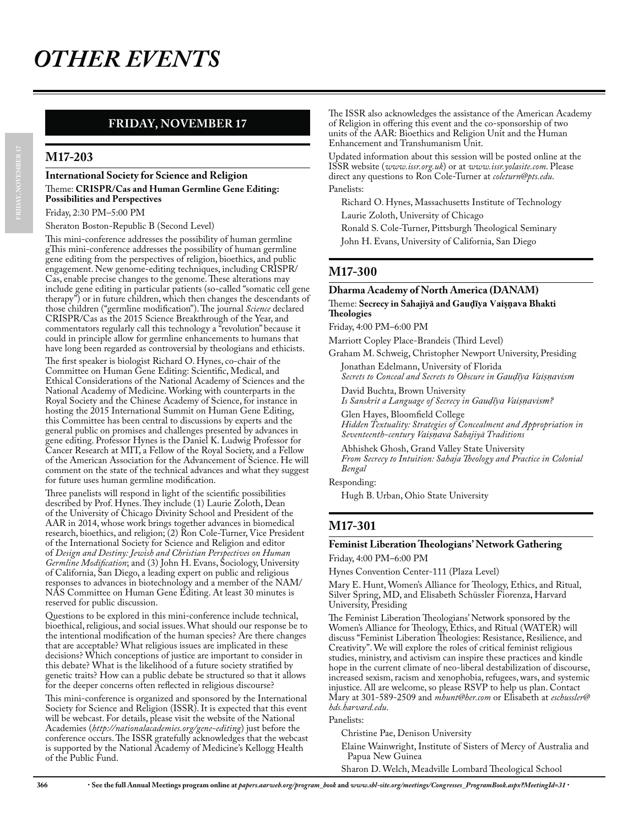## **FRIDAY, NOVEMBER 17**

#### **M17-203**

#### **International Society for Science and Religion** Theme: **CRISPR/Cas and Human Germline Gene Editing: Possibilities and Perspectives**

Friday, 2:30 PM–5:00 PM

Sheraton Boston-Republic B (Second Level)

This mini-conference addresses the possibility of human germline gThis mini-conference addresses the possibility of human germline gene editing from the perspectives of religion, bioethics, and public engagement. New genome-editing techniques, including CRISPR/ Cas, enable precise changes to the genome. These alterations may include gene editing in particular patients (so-called "somatic cell gene therapy") or in future children, which then changes the descendants of those children ("germline modification"). The journal *Science* declared CRISPR/Cas as the 2015 Science Breakthrough of the Year, and commentators regularly call this technology a "revolution" because it could in principle allow for germline enhancements to humans that have long been regarded as controversial by theologians and ethicists. The first speaker is biologist Richard O. Hynes, co-chair of the Committee on Human Gene Editing: Scientific, Medical, and Ethical Considerations of the National Academy of Sciences and the National Academy of Medicine. Working with counterparts in the Royal Society and the Chinese Academy of Science, for instance in hosting the 2015 International Summit on Human Gene Editing, this Committee has been central to discussions by experts and the general public on promises and challenges presented by advances in gene editing. Professor Hynes is the Daniel K. Ludwig Professor for Cancer Research at MIT, a Fellow of the Royal Society, and a Fellow of the American Association for the Advancement of Science. He will comment on the state of the technical advances and what they suggest

for future uses human germline modification. Three panelists will respond in light of the scientific possibilities described by Prof. Hynes. They include (1) Laurie Zoloth, Dean of the University of Chicago Divinity School and President of the AAR in 2014, whose work brings together advances in biomedical research, bioethics, and religion; (2) Ron Cole-Turner, Vice President of the International Society for Science and Religion and editor of *Design and Destiny: Jewish and Christian Perspectives on Human Germline Modification*; and (3) John H. Evans, Sociology, University of California, San Diego, a leading expert on public and religious responses to advances in biotechnology and a member of the NAM/ NAS Committee on Human Gene Editing. At least 30 minutes is reserved for public discussion.

Questions to be explored in this mini-conference include technical, bioethical, religious, and social issues. What should our response be to the intentional modification of the human species? Are there changes that are acceptable? What religious issues are implicated in these decisions? Which conceptions of justice are important to consider in this debate? What is the likelihood of a future society stratified by genetic traits? How can a public debate be structured so that it allows for the deeper concerns often reflected in religious discourse?

This mini-conference is organized and sponsored by the International Society for Science and Religion (ISSR). It is expected that this event will be webcast. For details, please visit the website of the National Academies (*http://nationalacademies.org/gene-editing*) just before the conference occurs. The ISSR gratefully acknowledges that the webcast is supported by the National Academy of Medicine's Kellogg Health of the Public Fund.

The ISSR also acknowledges the assistance of the American Academy of Religion in offering this event and the co-sponsorship of two units of the AAR: Bioethics and Religion Unit and the Human Enhancement and Transhumanism Unit.

Updated information about this session will be posted online at the ISSR website (*www.issr.org.uk*) or at *www.issr.yolasite.com*. Please direct any questions to Ron Cole-Turner at *coleturn@pts.edu*. Panelists:

Richard O. Hynes, Massachusetts Institute of Technology Laurie Zoloth, University of Chicago

Ronald S. Cole-Turner, Pittsburgh Theological Seminary John H. Evans, University of California, San Diego

## **M17-300**

#### **Dharma Academy of North America (DANAM)** Theme: Secrecy in Sahajiya and Gaudīya Vaişņava Bhakti **Theologies**

Friday, 4:00 PM–6:00 PM

Marriott Copley Place-Brandeis (Third Level)

Graham M. Schweig, Christopher Newport University, Presiding

Jonathan Edelmann, University of Florida *Secrets to Conceal and Secrets to Obscure in Gaudiya Vaisnavism* 

David Buchta, Brown University *Is Sanskrit a Language of Secrecy in Gaudiya Vaisnavism?* 

Glen Hayes, Bloomfield College *Hidden Textuality: Strategies of Concealment and Appropriation in* 

*Seventeenth-century 9DLΙΧDYD Sahajiyā Traditions*

Abhishek Ghosh, Grand Valley State University *From Secrecy to Intuition: Sahaja Theology and Practice in Colonial Bengal*

Responding:

Hugh B. Urban, Ohio State University

## **M17-301**

#### **Feminist Liberation Theologians' Network Gathering**

Friday, 4:00 PM–6:00 PM

Hynes Convention Center-111 (Plaza Level)

Mary E. Hunt, Women's Alliance for Theology, Ethics, and Ritual, Silver Spring, MD, and Elisabeth Schüssler Fiorenza, Harvard University, Presiding

The Feminist Liberation Theologians' Network sponsored by the Women's Alliance for Theology, Ethics, and Ritual (WATER) will discuss "Feminist Liberation Theologies: Resistance, Resilience, and Creativity". We will explore the roles of critical feminist religious studies, ministry, and activism can inspire these practices and kindle hope in the current climate of neo-liberal destabilization of discourse, increased sexism, racism and xenophobia, refugees, wars, and systemic injustice. All are welcome, so please RSVP to help us plan. Contact Mary at 301-589-2509 and *mhunt@her.com* or Elisabeth at *eschussler@ hds.harvard.edu*.

Panelists:

Christine Pae, Denison University

Elaine Wainwright, Institute of Sisters of Mercy of Australia and Papua New Guinea

Sharon D. Welch, Meadville Lombard Theological School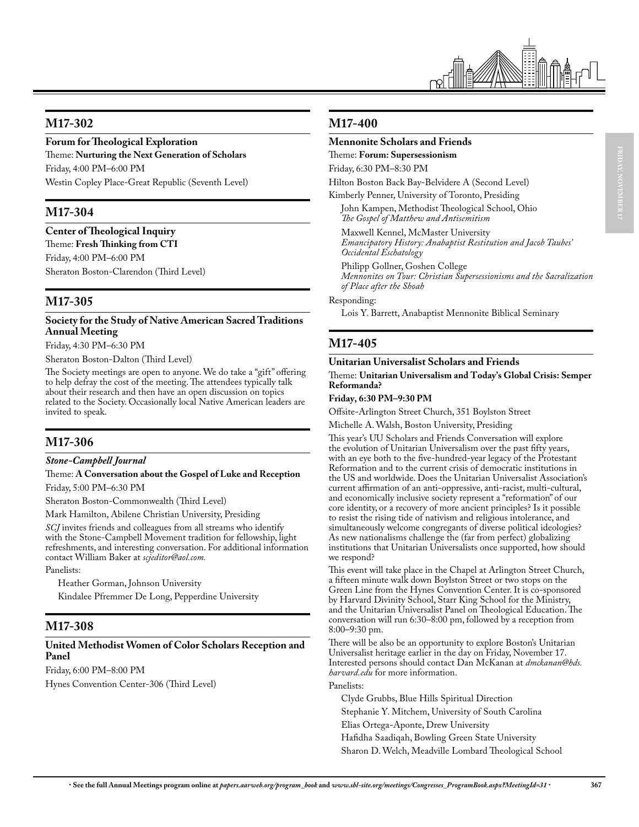

## **M17-302**

#### **Forum for Theological Exploration**

Theme: **Nurturing the Next Generation of Scholars** Friday, 4:00 PM–6:00 PM Westin Copley Place-Great Republic (Seventh Level)

## **M17-304**

**Center of Theological Inquiry** Theme: **Fresh Thinking from CTI**

Friday, 4:00 PM–6:00 PM Sheraton Boston-Clarendon (Third Level)

## **M17-305**

#### **Society for the Study of Native American Sacred Traditions Annual Meeting**

Friday, 4:30 PM–6:30 PM

Sheraton Boston-Dalton (Third Level)

The Society meetings are open to anyone. We do take a "gift" offering to help defray the cost of the meeting. The attendees typically talk about their research and then have an open discussion on topics related to the Society. Occasionally local Native American leaders are invited to speak.

## **M17-306**

#### *Stone-Campbell Journal*

Theme: **A Conversation about the Gospel of Luke and Reception** Friday, 5:00 PM–6:30 PM

Sheraton Boston-Commonwealth (Third Level)

Mark Hamilton, Abilene Christian University, Presiding

*SCJ* invites friends and colleagues from all streams who identify with the Stone-Campbell Movement tradition for fellowship, light refreshments, and interesting conversation. For additional information contact William Baker at *scjeditor@aol.com.*

Panelists:

Heather Gorman, Johnson University Kindalee Pfremmer De Long, Pepperdine University

#### **M17-308**

#### **United Methodist Women of Color Scholars Reception and Panel**

Friday, 6:00 PM–8:00 PM Hynes Convention Center-306 (Third Level)

#### **M17-400**

#### **Mennonite Scholars and Friends**

Theme: **Forum: Supersessionism** Friday, 6:30 PM–8:30 PM

Hilton Boston Back Bay-Belvidere A (Second Level)

Kimberly Penner, University of Toronto, Presiding John Kampen, Methodist Theological School, Ohio *The Gospel of Matthew and Antisemitism*

Maxwell Kennel, McMaster University *Emancipatory History: Anabaptist Restitution and Jacob Taubes' Occidental Eschatology*

Philipp Gollner, Goshen College *Mennonites on Tour: Christian Supersessionisms and the Sacralization of Place after the Shoah*

Responding:

Lois Y. Barrett, Anabaptist Mennonite Biblical Seminary

### **M17-405**

# **Unitarian Universalist Scholars and Friends**

Theme: **Unitarian Universalism and Today's Global Crisis: Semper Reformanda?**

**Friday, 6:30 PM–9:30 PM**

Offsite-Arlington Street Church, 351 Boylston Street

Michelle A. Walsh, Boston University, Presiding

This year's UU Scholars and Friends Conversation will explore the evolution of Unitarian Universalism over the past fifty years, with an eye both to the five-hundred-year legacy of the Protestant Reformation and to the current crisis of democratic institutions in the US and worldwide. Does the Unitarian Universalist Association's current affirmation of an anti-oppressive, anti-racist, multi-cultural, and economically inclusive society represent a "reformation" of our core identity, or a recovery of more ancient principles? Is it possible to resist the rising tide of nativism and religious intolerance, and simultaneously welcome congregants of diverse political ideologies? As new nationalisms challenge the (far from perfect) globalizing institutions that Unitarian Universalists once supported, how should we respond?

This event will take place in the Chapel at Arlington Street Church, a fifteen minute walk down Boylston Street or two stops on the Green Line from the Hynes Convention Center. It is co-sponsored by Harvard Divinity School, Starr King School for the Ministry, and the Unitarian Universalist Panel on Theological Education. The conversation will run 6:30–8:00 pm, followed by a reception from 8:00–9:30 pm.

There will be also be an opportunity to explore Boston's Unitarian Universalist heritage earlier in the day on Friday, November 17. Interested persons should contact Dan McKanan at *dmckanan@hds. harvard.edu* for more information.

Panelists:

Clyde Grubbs, Blue Hills Spiritual Direction Stephanie Y. Mitchem, University of South Carolina Elias Ortega-Aponte, Drew University Hafidha Saadiqah, Bowling Green State University Sharon D. Welch, Meadville Lombard Theological School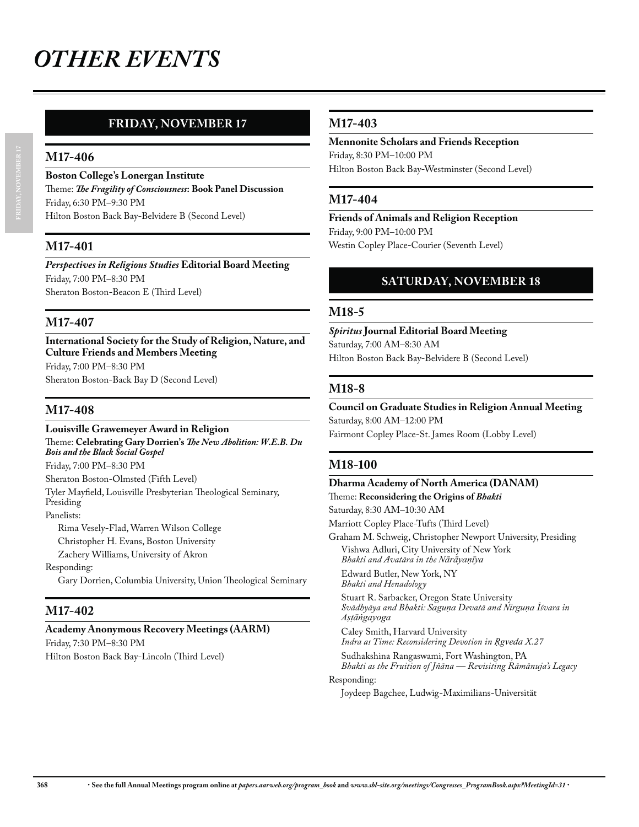## **FRIDAY, NOVEMBER 17**

#### **M17-406**

**Boston College's Lonergan Institute** Theme: *The Fragility of Consciousness***: Book Panel Discussion** Friday, 6:30 PM–9:30 PM Hilton Boston Back Bay-Belvidere B (Second Level)

### **M17-401**

*Perspectives in Religious Studies* **Editorial Board Meeting** Friday, 7:00 PM–8:30 PM Sheraton Boston-Beacon E (Third Level)

### **M17-407**

**International Society for the Study of Religion, Nature, and Culture Friends and Members Meeting** Friday, 7:00 PM–8:30 PM Sheraton Boston-Back Bay D (Second Level)

## **M17-408**

**Louisville Grawemeyer Award in Religion** Theme: **Celebrating Gary Dorrien's** *The New Abolition: W.E.B. Du Bois and the Black Social Gospel* Friday, 7:00 PM–8:30 PM Sheraton Boston-Olmsted (Fifth Level) Tyler Mayfield, Louisville Presbyterian Theological Seminary, Presiding Panelists: Rima Vesely-Flad, Warren Wilson College Christopher H. Evans, Boston University Zachery Williams, University of Akron Responding: Gary Dorrien, Columbia University, Union Theological Seminary

## **M17-402**

## **Academy Anonymous Recovery Meetings (AARM)**

Friday, 7:30 PM–8:30 PM Hilton Boston Back Bay-Lincoln (Third Level)

## **M17-403**

**Mennonite Scholars and Friends Reception** Friday, 8:30 PM–10:00 PM Hilton Boston Back Bay-Westminster (Second Level)

## **M17-404**

**Friends of Animals and Religion Reception** Friday, 9:00 PM–10:00 PM Westin Copley Place-Courier (Seventh Level)

## **SATURDAY, NOVEMBER 18**

#### **M18-5**

*Spiritus* **Journal Editorial Board Meeting** Saturday, 7:00 AM–8:30 AM Hilton Boston Back Bay-Belvidere B (Second Level)

## **M18-8**

**Council on Graduate Studies in Religion Annual Meeting** Saturday, 8:00 AM–12:00 PM Fairmont Copley Place-St. James Room (Lobby Level)

## **M18-100**

**Dharma Academy of North America (DANAM)** Theme: **Reconsidering the Origins of** *Bhakti* Saturday, 8:30 AM–10:30 AM Marriott Copley Place-Tufts (Third Level)

Graham M. Schweig, Christopher Newport University, Presiding Vishwa Adluri, City University of New York *Bhakti and Avatāra in the Nārāyaṇīya* 

Edward Butler, New York, NY *Bhakti and Henadology*

Stuart R. Sarbacker, Oregon State University *Svādhyāya and Bhakti: Saguņa Devatā and Nirguņa Īśvara in*  $A$ *s*tāngayoga

Caley Smith, Harvard University *Indra as Time: Reconsidering Devotion in Rgveda X.27* 

Sudhakshina Rangaswami, Fort Washington, PA *Bhakti as the Fruition of Jñāna — Revisiting Rāmānuja's Legacy*

Responding:

Joydeep Bagchee, Ludwig-Maximilians-Universität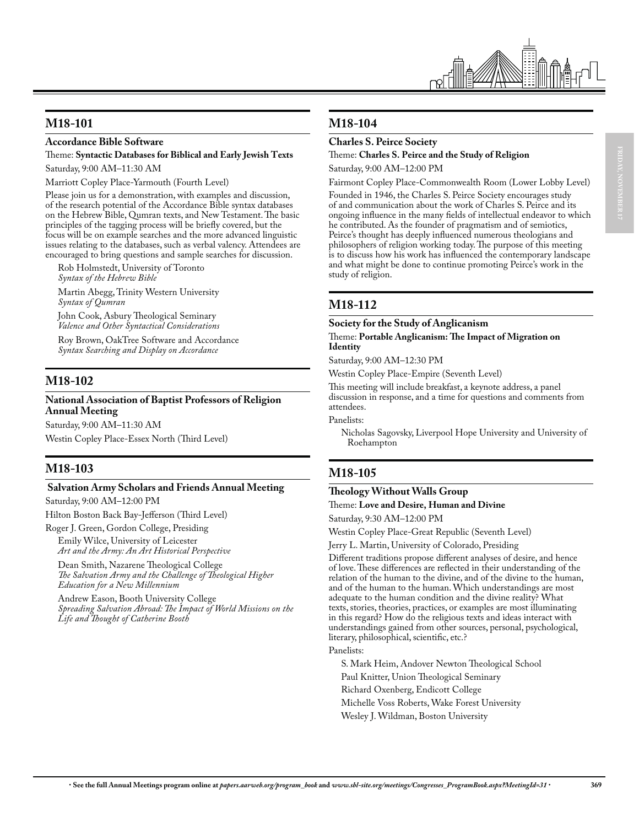

## **M18-101**

#### **Accordance Bible Software**

Theme: **Syntactic Databases for Biblical and Early Jewish Texts** Saturday, 9:00 AM–11:30 AM

Marriott Copley Place-Yarmouth (Fourth Level)

Please join us for a demonstration, with examples and discussion, of the research potential of the Accordance Bible syntax databases on the Hebrew Bible, Qumran texts, and New Testament. The basic principles of the tagging process will be briefly covered, but the focus will be on example searches and the more advanced linguistic issues relating to the databases, such as verbal valency. Attendees are encouraged to bring questions and sample searches for discussion.

Rob Holmstedt, University of Toronto *Syntax of the Hebrew Bible*

Martin Abegg, Trinity Western University *Syntax of Qumran*

John Cook, Asbury Theological Seminary *Valence and Other Syntactical Considerations*

Roy Brown, OakTree Software and Accordance *Syntax Searching and Display on Accordance*

## **M18-102**

#### **National Association of Baptist Professors of Religion Annual Meeting**

Saturday, 9:00 AM–11:30 AM Westin Copley Place-Essex North (Third Level)

## **M18-103**

#### **Salvation Army Scholars and Friends Annual Meeting**

Saturday, 9:00 AM–12:00 PM

Hilton Boston Back Bay-Jefferson (Third Level)

Roger J. Green, Gordon College, Presiding Emily Wilce, University of Leicester

*Art and the Army: An Art Historical Perspective*

Dean Smith, Nazarene Theological College *The Salvation Army and the Challenge of Theological Higher Education for a New Millennium*

Andrew Eason, Booth University College *Spreading Salvation Abroad: The Impact of World Missions on the Life and Thought of Catherine Booth*

## **M18-104**

#### **Charles S. Peirce Society**

#### Theme: **Charles S. Peirce and the Study of Religion** Saturday, 9:00 AM–12:00 PM

Fairmont Copley Place-Commonwealth Room (Lower Lobby Level) Founded in 1946, the Charles S. Peirce Society encourages study of and communication about the work of Charles S. Peirce and its ongoing influence in the many fields of intellectual endeavor to which he contributed. As the founder of pragmatism and of semiotics, Peirce's thought has deeply influenced numerous theologians and philosophers of religion working today. The purpose of this meeting is to discuss how his work has influenced the contemporary landscape and what might be done to continue promoting Peirce's work in the study of religion.

## **M18-112**

## **Society for the Study of Anglicanism**

Theme: **Portable Anglicanism: The Impact of Migration on Identity**

Saturday, 9:00 AM–12:30 PM

Westin Copley Place-Empire (Seventh Level)

This meeting will include breakfast, a keynote address, a panel discussion in response, and a time for questions and comments from attendees.

Panelists:

Nicholas Sagovsky, Liverpool Hope University and University of Roehampton

## **M18-105**

#### **Theology Without Walls Group**

Theme: **Love and Desire, Human and Divine**

Saturday, 9:30 AM–12:00 PM

Westin Copley Place-Great Republic (Seventh Level)

Jerry L. Martin, University of Colorado, Presiding

Different traditions propose different analyses of desire, and hence of love. These differences are reflected in their understanding of the relation of the human to the divine, and of the divine to the human, and of the human to the human. Which understandings are most adequate to the human condition and the divine reality? What texts, stories, theories, practices, or examples are most illuminating in this regard? How do the religious texts and ideas interact with understandings gained from other sources, personal, psychological, literary, philosophical, scientific, etc.?

Panelists:

S. Mark Heim, Andover Newton Theological School

Paul Knitter, Union Theological Seminary

Richard Oxenberg, Endicott College

Michelle Voss Roberts, Wake Forest University

Wesley J. Wildman, Boston University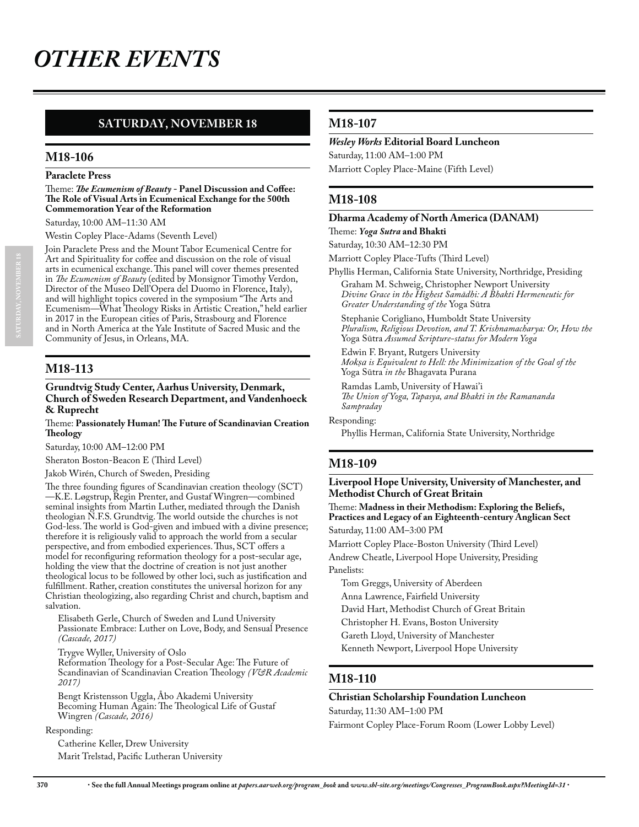## **SATURDAY, NOVEMBER 18**

#### **M18-106**

#### **Paraclete Press**

Theme: *The Ecumenism of Beauty* **- Panel Discussion and Coffee: The Role of Visual Arts in Ecumenical Exchange for the 500th Commemoration Year of the Reformation**

Saturday, 10:00 AM–11:30 AM

Westin Copley Place-Adams (Seventh Level)

Join Paraclete Press and the Mount Tabor Ecumenical Centre for Art and Spirituality for coffee and discussion on the role of visual arts in ecumenical exchange. This panel will cover themes presented in *The Ecumenism of Beauty* (edited by Monsignor Timothy Verdon, Director of the Museo Dell'Opera del Duomo in Florence, Italy), and will highlight topics covered in the symposium "The Arts and Ecumenism—What Theology Risks in Artistic Creation," held earlier in 2017 in the European cities of Paris, Strasbourg and Florence and in North America at the Yale Institute of Sacred Music and the Community of Jesus, in Orleans, MA.

### **M18-113**

#### **Grundtvig Study Center, Aarhus University, Denmark, Church of Sweden Research Department, and Vandenhoeck & Ruprecht**

#### Theme: **Passionately Human! The Future of Scandinavian Creation Theology**

Saturday, 10:00 AM–12:00 PM

Sheraton Boston-Beacon E (Third Level)

Jakob Wirén, Church of Sweden, Presiding

The three founding figures of Scandinavian creation theology (SCT) —K.E. Løgstrup, Regin Prenter, and Gustaf Wingren—combined seminal insights from Martin Luther, mediated through the Danish theologian N.F.S. Grundtvig. The world outside the churches is not God-less. The world is God-given and imbued with a divine presence; therefore it is religiously valid to approach the world from a secular perspective, and from embodied experiences. Thus, SCT offers a model for reconfiguring reformation theology for a post-secular age, holding the view that the doctrine of creation is not just another theological locus to be followed by other loci, such as justification and fulfillment. Rather, creation constitutes the universal horizon for any Christian theologizing, also regarding Christ and church, baptism and salvation.

Elisabeth Gerle, Church of Sweden and Lund University Passionate Embrace: Luther on Love, Body, and Sensual Presence *(Cascade, 2017)*

Trygve Wyller, University of Oslo

Reformation Theology for a Post-Secular Age: The Future of Scandinavian of Scandinavian Creation Theology *(V&R Academic 2017)*

Bengt Kristensson Uggla, Åbo Akademi University Becoming Human Again: The Theological Life of Gustaf Wingren *(Cascade, 2016)*

#### Responding:

Catherine Keller, Drew University Marit Trelstad, Pacific Lutheran University

#### **M18-107**

#### *Wesley Works* **Editorial Board Luncheon**

Saturday, 11:00 AM–1:00 PM Marriott Copley Place-Maine (Fifth Level)

#### **M18-108**

**Dharma Academy of North America (DANAM)** Theme: *Yoga Sutra* **and Bhakti**

Saturday, 10:30 AM–12:30 PM

Marriott Copley Place-Tufts (Third Level)

Phyllis Herman, California State University, Northridge, Presiding Graham M. Schweig, Christopher Newport University *Divine Grace in the Highest Samādhi: A Bhakti Hermeneutic for Greater Understanding of the* Yoga Sūtra

Stephanie Corigliano, Humboldt State University *Pluralism, Religious Devotion, and T. Krishnamacharya: Or, How the*  Yoga Sūtra *Assumed Scripture-status for Modern Yoga*

Edwin F. Bryant, Rutgers University *Mokṣa is Equivalent to Hell: the Minimization of the Goal of the* Yoga Sūtra *in the* Bhagavata Purana

Ramdas Lamb, University of Hawai'i *The Union of Yoga, Tapasya, and Bhakti in the Ramananda Sampraday*

Responding:

Phyllis Herman, California State University, Northridge

#### **M18-109**

**Liverpool Hope University, University of Manchester, and Methodist Church of Great Britain**

Theme: **Madness in their Methodism: Exploring the Beliefs, Practices and Legacy of an Eighteenth-century Anglican Sect** Saturday, 11:00 AM–3:00 PM

Marriott Copley Place-Boston University (Third Level) Andrew Cheatle, Liverpool Hope University, Presiding Panelists:

Tom Greggs, University of Aberdeen

Anna Lawrence, Fairfield University

David Hart, Methodist Church of Great Britain

Christopher H. Evans, Boston University

Gareth Lloyd, University of Manchester

Kenneth Newport, Liverpool Hope University

#### **M18-110**

## **Christian Scholarship Foundation Luncheon**

Saturday, 11:30 AM–1:00 PM

Fairmont Copley Place-Forum Room (Lower Lobby Level)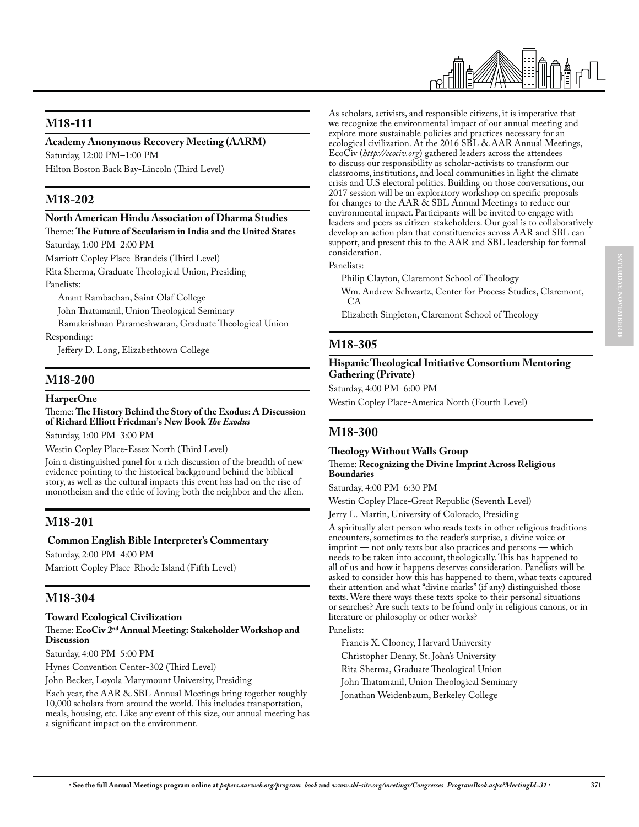

## **M18-111**

#### **Academy Anonymous Recovery Meeting (AARM)**

Saturday, 12:00 PM–1:00 PM Hilton Boston Back Bay-Lincoln (Third Level)

## **M18-202**

#### **North American Hindu Association of Dharma Studies**

Theme: **The Future of Secularism in India and the United States**

Saturday, 1:00 PM–2:00 PM

Marriott Copley Place-Brandeis (Third Level)

Rita Sherma, Graduate Theological Union, Presiding Panelists:

Anant Rambachan, Saint Olaf College

John Thatamanil, Union Theological Seminary

Ramakrishnan Parameshwaran, Graduate Theological Union

Responding:

Jeffery D. Long, Elizabethtown College

## **M18-200**

#### **HarperOne**

Theme: **The History Behind the Story of the Exodus: A Discussion of Richard Elliott Friedman's New Book** *The Exodus*

Saturday, 1:00 PM–3:00 PM

Westin Copley Place-Essex North (Third Level)

Join a distinguished panel for a rich discussion of the breadth of new evidence pointing to the historical background behind the biblical story, as well as the cultural impacts this event has had on the rise of monotheism and the ethic of loving both the neighbor and the alien.

## **M18-201**

#### **Common English Bible Interpreter's Commentary**

Saturday, 2:00 PM–4:00 PM

Marriott Copley Place-Rhode Island (Fifth Level)

## **M18-304**

## **Toward Ecological Civilization**

#### Theme: **EcoCiv 2nd Annual Meeting: Stakeholder Workshop and Discussion**

Saturday, 4:00 PM–5:00 PM

Hynes Convention Center-302 (Third Level)

John Becker, Loyola Marymount University, Presiding

Each year, the AAR & SBL Annual Meetings bring together roughly 10,000 scholars from around the world. This includes transportation, meals, housing, etc. Like any event of this size, our annual meeting has a significant impact on the environment.

As scholars, activists, and responsible citizens, it is imperative that we recognize the environmental impact of our annual meeting and explore more sustainable policies and practices necessary for an ecological civilization. At the 2016 SBL & AAR Annual Meetings, EcoCiv (*http://ecociv.org*) gathered leaders across the attendees to discuss our responsibility as scholar-activists to transform our classrooms, institutions, and local communities in light the climate crisis and U.S electoral politics. Building on those conversations, our 2017 session will be an exploratory workshop on specific proposals for changes to the AAR & SBL Annual Meetings to reduce our environmental impact. Participants will be invited to engage with leaders and peers as citizen-stakeholders. Our goal is to collaboratively develop an action plan that constituencies across AAR and SBL can support, and present this to the AAR and SBL leadership for formal consideration.

Panelists:

Philip Clayton, Claremont School of Theology

Wm. Andrew Schwartz, Center for Process Studies, Claremont, CA

Elizabeth Singleton, Claremont School of Theology

## **M18-305**

#### **Hispanic Theological Initiative Consortium Mentoring Gathering (Private)**

Saturday, 4:00 PM–6:00 PM

Westin Copley Place-America North (Fourth Level)

## **M18-300**

#### **Theology Without Walls Group**

#### Theme: **Recognizing the Divine Imprint Across Religious Boundaries**

Saturday, 4:00 PM–6:30 PM

Westin Copley Place-Great Republic (Seventh Level)

Jerry L. Martin, University of Colorado, Presiding

A spiritually alert person who reads texts in other religious traditions encounters, sometimes to the reader's surprise, a divine voice or imprint — not only texts but also practices and persons — which needs to be taken into account, theologically. This has happened to all of us and how it happens deserves consideration. Panelists will be asked to consider how this has happened to them, what texts captured their attention and what "divine marks" (if any) distinguished those texts. Were there ways these texts spoke to their personal situations or searches? Are such texts to be found only in religious canons, or in literature or philosophy or other works?

#### Panelists:

Francis X. Clooney, Harvard University

Christopher Denny, St. John's University

- Rita Sherma, Graduate Theological Union
- John Thatamanil, Union Theological Seminary
- Jonathan Weidenbaum, Berkeley College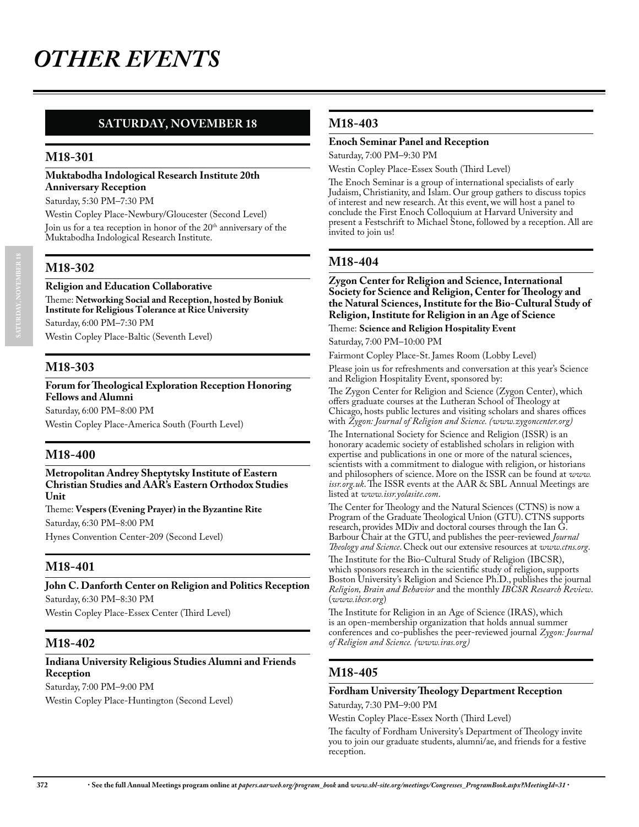## **SATURDAY, NOVEMBER 18**

## **M18-301**

#### **Muktabodha Indological Research Institute 20th Anniversary Reception**

Saturday, 5:30 PM–7:30 PM

Westin Copley Place-Newbury/Gloucester (Second Level)

Join us for a tea reception in honor of the 20<sup>th</sup> anniversary of the Muktabodha Indological Research Institute.

## **M18-302**

#### **Religion and Education Collaborative**

Theme: **Networking Social and Reception, hosted by Boniuk Institute for Religious Tolerance at Rice University** Saturday, 6:00 PM–7:30 PM

Westin Copley Place-Baltic (Seventh Level)

## **M18-303**

#### **Forum for Theological Exploration Reception Honoring Fellows and Alumni**

Saturday, 6:00 PM–8:00 PM Westin Copley Place-America South (Fourth Level)

## **M18-400**

#### **Metropolitan Andrey Sheptytsky Institute of Eastern Christian Studies and AAR's Eastern Orthodox Studies Unit**

Theme: **Vespers (Evening Prayer) in the Byzantine Rite** Saturday, 6:30 PM–8:00 PM

Hynes Convention Center-209 (Second Level)

## **M18-401**

## **John C. Danforth Center on Religion and Politics Reception** Saturday, 6:30 PM–8:30 PM

Westin Copley Place-Essex Center (Third Level)

## **M18-402**

## **Indiana University Religious Studies Alumni and Friends Reception**

Saturday, 7:00 PM–9:00 PM

Westin Copley Place-Huntington (Second Level)

## **M18-403**

#### **Enoch Seminar Panel and Reception**

Saturday, 7:00 PM–9:30 PM

Westin Copley Place-Essex South (Third Level)

The Enoch Seminar is a group of international specialists of early Judaism, Christianity, and Islam. Our group gathers to discuss topics of interest and new research. At this event, we will host a panel to conclude the First Enoch Colloquium at Harvard University and present a Festschrift to Michael Stone, followed by a reception. All are invited to join us!

## **M18-404**

**Zygon Center for Religion and Science, International Society for Science and Religion, Center for Theology and the Natural Sciences, Institute for the Bio-Cultural Study of Religion, Institute for Religion in an Age of Science**

Theme: **Science and Religion Hospitality Event** 

Saturday, 7:00 PM–10:00 PM

Fairmont Copley Place-St. James Room (Lobby Level)

Please join us for refreshments and conversation at this year's Science and Religion Hospitality Event, sponsored by:

The Zygon Center for Religion and Science (Zygon Center), which offers graduate courses at the Lutheran School of Theology at Chicago, hosts public lectures and visiting scholars and shares offices with *Zygon: Journal of Religion and Science. (www.zygoncenter.org)*

The International Society for Science and Religion (ISSR) is an honorary academic society of established scholars in religion with expertise and publications in one or more of the natural sciences, scientists with a commitment to dialogue with religion, or historians and philosophers of science. More on the ISSR can be found at *www. issr.org.uk*. The ISSR events at the AAR & SBL Annual Meetings are listed at *www.issr.yolasite.com*.

The Center for Theology and the Natural Sciences (CTNS) is now a Program of the Graduate Theological Union (GTU). CTNS supports research, provides MDiv and doctoral courses through the Ian G. Barbour Chair at the GTU, and publishes the peer-reviewed *Journal Theology and Science*. Check out our extensive resources at *www.ctns.org*.

The Institute for the Bio-Cultural Study of Religion (IBCSR), which sponsors research in the scientific study of religion, supports Boston University's Religion and Science Ph.D., publishes the journal *Religion, Brain and Behavior* and the monthly *IBCSR Research Review*. (*www.ibcsr.org*)

The Institute for Religion in an Age of Science (IRAS), which is an open-membership organization that holds annual summer conferences and co-publishes the peer-reviewed journal *Zygon: Journal of Religion and Science. (www.iras.org)*

## **M18-405**

## **Fordham University Theology Department Reception**

Saturday, 7:30 PM–9:00 PM

Westin Copley Place-Essex North (Third Level)

The faculty of Fordham University's Department of Theology invite you to join our graduate students, alumni/ae, and friends for a festive reception.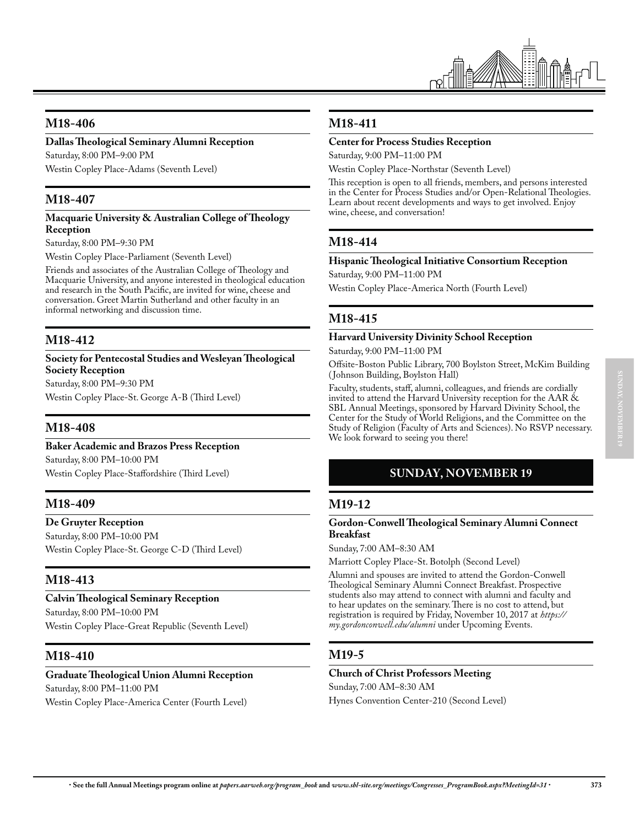

## **M18-406**

#### **Dallas Theological Seminary Alumni Reception**

Saturday, 8:00 PM–9:00 PM Westin Copley Place-Adams (Seventh Level)

## **M18-407**

#### **Macquarie University & Australian College of Theology Reception**

Saturday, 8:00 PM–9:30 PM

Westin Copley Place-Parliament (Seventh Level)

Friends and associates of the Australian College of Theology and Macquarie University, and anyone interested in theological education and research in the South Pacific, are invited for wine, cheese and conversation. Greet Martin Sutherland and other faculty in an informal networking and discussion time.

## **M18-412**

#### **Society for Pentecostal Studies and Wesleyan Theological Society Reception**

Saturday, 8:00 PM–9:30 PM

Westin Copley Place-St. George A-B (Third Level)

## **M18-408**

#### **Baker Academic and Brazos Press Reception**

Saturday, 8:00 PM–10:00 PM Westin Copley Place-Staffordshire (Third Level)

## **M18-409**

#### **De Gruyter Reception**

Saturday, 8:00 PM–10:00 PM Westin Copley Place-St. George C-D (Third Level)

## **M18-413**

## **Calvin Theological Seminary Reception**  Saturday, 8:00 PM–10:00 PM

Westin Copley Place-Great Republic (Seventh Level)

## **M18-410**

## **Graduate Theological Union Alumni Reception**

Saturday, 8:00 PM–11:00 PM

Westin Copley Place-America Center (Fourth Level)

## **M18-411**

#### **Center for Process Studies Reception**

Saturday, 9:00 PM–11:00 PM

Westin Copley Place-Northstar (Seventh Level)

This reception is open to all friends, members, and persons interested in the Center for Process Studies and/or Open-Relational Theologies. Learn about recent developments and ways to get involved. Enjoy wine, cheese, and conversation!

## **M18-414**

#### **Hispanic Theological Initiative Consortium Reception**

Saturday, 9:00 PM–11:00 PM

Westin Copley Place-America North (Fourth Level)

## **M18-415**

#### **Harvard University Divinity School Reception**

Saturday, 9:00 PM–11:00 PM

Offsite-Boston Public Library, 700 Boylston Street, McKim Building ( Johnson Building, Boylston Hall)

Faculty, students, staff, alumni, colleagues, and friends are cordially invited to attend the Harvard University reception for the AAR & SBL Annual Meetings, sponsored by Harvard Divinity School, the Center for the Study of World Religions, and the Committee on the Study of Religion (Faculty of Arts and Sciences). No RSVP necessary. We look forward to seeing you there!

## **SUNDAY, NOVEMBER 19**

## **M19-12**

#### **Gordon-Conwell Theological Seminary Alumni Connect Breakfast**

Sunday, 7:00 AM–8:30 AM

Marriott Copley Place-St. Botolph (Second Level)

Alumni and spouses are invited to attend the Gordon-Conwell Theological Seminary Alumni Connect Breakfast. Prospective students also may attend to connect with alumni and faculty and to hear updates on the seminary. There is no cost to attend, but registration is required by Friday, November 10, 2017 at *https:// my.gordonconwell.edu/alumni* under Upcoming Events.

## **M19-5**

## **Church of Christ Professors Meeting**

Sunday, 7:00 AM–8:30 AM

Hynes Convention Center-210 (Second Level)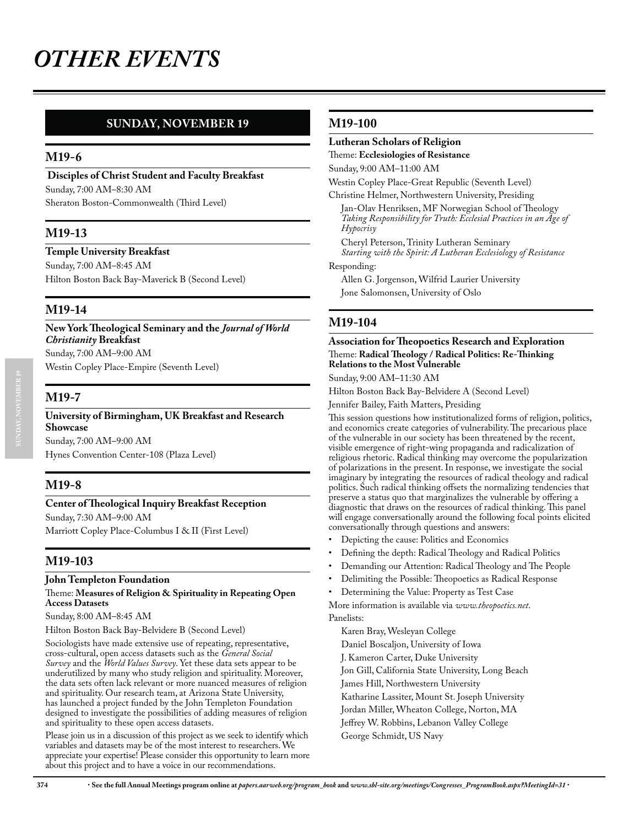## **SUNDAY, NOVEMBER 19**

## **M19-6**

 **Disciples of Christ Student and Faculty Breakfast** Sunday, 7:00 AM–8:30 AM Sheraton Boston-Commonwealth (Third Level)

## **M19-13**

#### **Temple University Breakfast**

Sunday, 7:00 AM–8:45 AM Hilton Boston Back Bay-Maverick B (Second Level)

## **M19-14**

**New York Theological Seminary and the** *Journal of World Christianity* **Breakfast**  Sunday, 7:00 AM–9:00 AM

Westin Copley Place-Empire (Seventh Level)

#### **M19-7**

**SUNDAY, NOVEMBER 19**

#### **University of Birmingham, UK Breakfast and Research Showcase**

Sunday, 7:00 AM–9:00 AM Hynes Convention Center-108 (Plaza Level)

## **M19-8**

#### **Center of Theological Inquiry Breakfast Reception**

Sunday, 7:30 AM–9:00 AM Marriott Copley Place-Columbus I & II (First Level)

## **M19-103**

#### **John Templeton Foundation**

#### Theme: **Measures of Religion & Spirituality in Repeating Open Access Datasets**

Sunday, 8:00 AM–8:45 AM

Hilton Boston Back Bay-Belvidere B (Second Level)

Sociologists have made extensive use of repeating, representative, cross-cultural, open access datasets such as the *General Social Survey* and the *World Values Survey*. Yet these data sets appear to be underutilized by many who study religion and spirituality. Moreover, the data sets often lack relevant or more nuanced measures of religion and spirituality. Our research team, at Arizona State University, has launched a project funded by the John Templeton Foundation designed to investigate the possibilities of adding measures of religion and spirituality to these open access datasets.

Please join us in a discussion of this project as we seek to identify which variables and datasets may be of the most interest to researchers. We appreciate your expertise! Please consider this opportunity to learn more about this project and to have a voice in our recommendations.

#### **M19-100**

#### **Lutheran Scholars of Religion**

Theme: **Ecclesiologies of Resistance**

Sunday, 9:00 AM–11:00 AM

Westin Copley Place-Great Republic (Seventh Level)

Christine Helmer, Northwestern University, Presiding Jan-Olav Henriksen, MF Norwegian School of Theology

*Taking Responsibility for Truth: Ecclesial Practices in an Age of Hypocrisy*

Cheryl Peterson, Trinity Lutheran Seminary *Starting with the Spirit: A Lutheran Ecclesiology of Resistance*

#### Responding:

Allen G. Jorgenson, Wilfrid Laurier University Jone Salomonsen, University of Oslo

## **M19-104**

#### **Association for Theopoetics Research and Exploration** Theme: **Radical Theology / Radical Politics: Re-Thinking Relations to the Most Vulnerable**

Sunday, 9:00 AM–11:30 AM

Hilton Boston Back Bay-Belvidere A (Second Level)

Jennifer Bailey, Faith Matters, Presiding

This session questions how institutionalized forms of religion, politics, and economics create categories of vulnerability. The precarious place of the vulnerable in our society has been threatened by the recent, visible emergence of right-wing propaganda and radicalization of religious rhetoric. Radical thinking may overcome the popularization of polarizations in the present. In response, we investigate the social imaginary by integrating the resources of radical theology and radical politics. Such radical thinking offsets the normalizing tendencies that preserve a status quo that marginalizes the vulnerable by offering a diagnostic that draws on the resources of radical thinking. This panel will engage conversationally around the following focal points elicited conversationally through questions and answers:

- Depicting the cause: Politics and Economics
- Defining the depth: Radical Theology and Radical Politics
- Demanding our Attention: Radical Theology and The People
- Delimiting the Possible: Theopoetics as Radical Response
- Determining the Value: Property as Test Case

More information is available via *www.theopoetics.net*. Panelists:

Karen Bray, Wesleyan College

- Daniel Boscaljon, University of Iowa
- J. Kameron Carter, Duke University

Jon Gill, California State University, Long Beach

James Hill, Northwestern University

Katharine Lassiter, Mount St. Joseph University

Jordan Miller, Wheaton College, Norton, MA

Jeffrey W. Robbins, Lebanon Valley College

George Schmidt, US Navy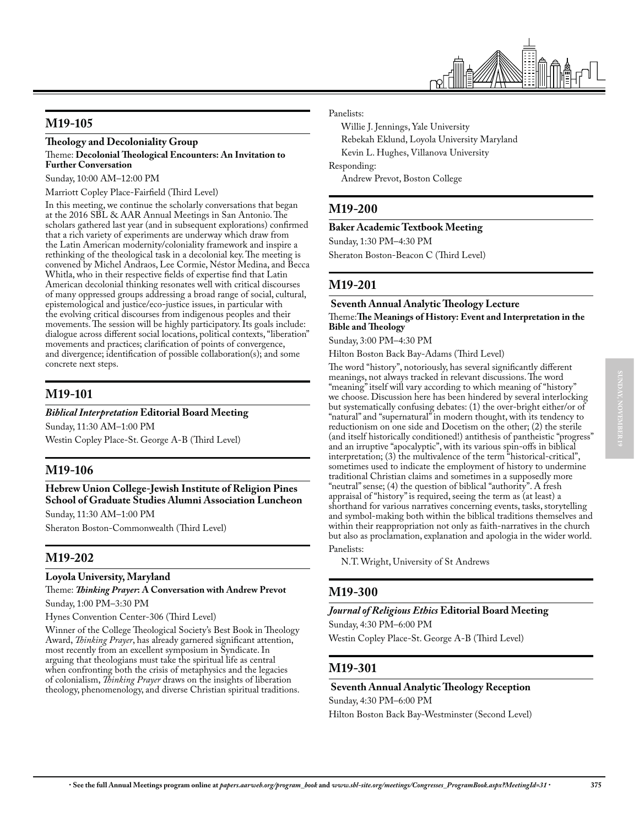

## **M19-105**

## **Theology and Decoloniality Group**

#### Theme: **Decolonial Theological Encounters: An Invitation to Further Conversation**

Sunday, 10:00 AM–12:00 PM

Marriott Copley Place-Fairfield (Third Level)

In this meeting, we continue the scholarly conversations that began at the 2016 SBL & AAR Annual Meetings in San Antonio. The scholars gathered last year (and in subsequent explorations) confirmed that a rich variety of experiments are underway which draw from the Latin American modernity/coloniality framework and inspire a rethinking of the theological task in a decolonial key. The meeting is convened by Michel Andraos, Lee Cormie, Néstor Medina, and Becca Whitla, who in their respective fields of expertise find that Latin American decolonial thinking resonates well with critical discourses of many oppressed groups addressing a broad range of social, cultural, epistemological and justice/eco-justice issues, in particular with the evolving critical discourses from indigenous peoples and their movements. The session will be highly participatory. Its goals include: dialogue across different social locations, political contexts, "liberation" movements and practices; clarification of points of convergence, and divergence; identification of possible collaboration(s); and some concrete next steps.

## **M19-101**

#### *Biblical Interpretation* **Editorial Board Meeting**

Sunday, 11:30 AM–1:00 PM Westin Copley Place-St. George A-B (Third Level)

## **M19-106**

**Hebrew Union College-Jewish Institute of Religion Pines School of Graduate Studies Alumni Association Luncheon** 

Sunday, 11:30 AM–1:00 PM Sheraton Boston-Commonwealth (Third Level)

## **M19-202**

#### **Loyola University, Maryland**

Theme: *Thinking Prayer***: A Conversation with Andrew Prevot**

Sunday, 1:00 PM–3:30 PM Hynes Convention Center-306 (Third Level)

Winner of the College Theological Society's Best Book in Theology Award, *Thinking Prayer*, has already garnered significant attention, most recently from an excellent symposium in Syndicate. In arguing that theologians must take the spiritual life as central when confronting both the crisis of metaphysics and the legacies of colonialism, *Thinking Prayer* draws on the insights of liberation theology, phenomenology, and diverse Christian spiritual traditions. Panelists:

Willie J. Jennings, Yale University Rebekah Eklund, Loyola University Maryland Kevin L. Hughes, Villanova University Responding: Andrew Prevot, Boston College

## **M19-200**

#### **Baker Academic Textbook Meeting**

Sunday, 1:30 PM–4:30 PM

Sheraton Boston-Beacon C (Third Level)

## **M19-201**

#### **Seventh Annual Analytic Theology Lecture**

Theme:**The Meanings of History: Event and Interpretation in the Bible and Theology**

Sunday, 3:00 PM–4:30 PM

Hilton Boston Back Bay-Adams (Third Level)

The word "history", notoriously, has several significantly different meanings, not always tracked in relevant discussions. The word "meaning" itself will vary according to which meaning of "history" we choose. Discussion here has been hindered by several interlocking but systematically confusing debates: (1) the over-bright either/or of "natural" and "supernatural" in modern thought, with its tendency to reductionism on one side and Docetism on the other; (2) the sterile (and itself historically conditioned!) antithesis of pantheistic "progress" and an irruptive "apocalyptic", with its various spin-offs in biblical interpretation; (3) the multivalence of the term "historical-critical", sometimes used to indicate the employment of history to undermine traditional Christian claims and sometimes in a supposedly more "neutral" sense; (4) the question of biblical "authority". A fresh appraisal of "history" is required, seeing the term as (at least) a shorthand for various narratives concerning events, tasks, storytelling and symbol-making both within the biblical traditions themselves and within their reappropriation not only as faith-narratives in the church but also as proclamation, explanation and apologia in the wider world. Panelists:

N.T. Wright, University of St Andrews

## **M19-300**

#### *Journal of Religious Ethics* **Editorial Board Meeting**

Sunday, 4:30 PM–6:00 PM

Westin Copley Place-St. George A-B (Third Level)

## **M19-301**

#### **Seventh Annual Analytic Theology Reception**

Sunday, 4:30 PM–6:00 PM

Hilton Boston Back Bay-Westminster (Second Level)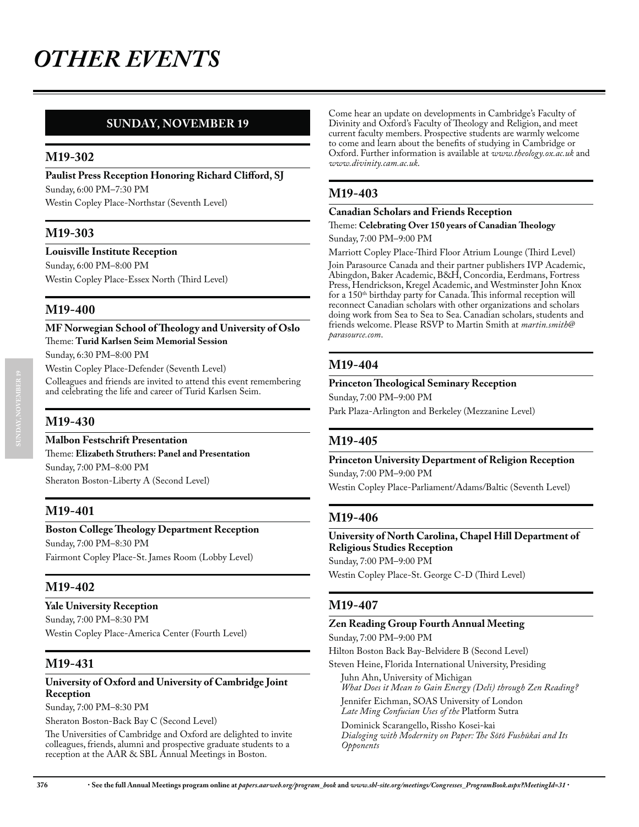## **SUNDAY, NOVEMBER 19**

### **M19-302**

**Paulist Press Reception Honoring Richard Clifford, SJ**  Sunday, 6:00 PM–7:30 PM

Westin Copley Place-Northstar (Seventh Level)

## **M19-303**

**Louisville Institute Reception**

Sunday, 6:00 PM–8:00 PM Westin Copley Place-Essex North (Third Level)

## **M19-400**

**MF Norwegian School of Theology and University of Oslo** Theme: **Turid Karlsen Seim Memorial Session** Sunday, 6:30 PM–8:00 PM

Westin Copley Place-Defender (Seventh Level) Colleagues and friends are invited to attend this event remembering and celebrating the life and career of Turid Karlsen Seim.

## **M19-430**

**Malbon Festschrift Presentation** Theme: **Elizabeth Struthers: Panel and Presentation** Sunday, 7:00 PM–8:00 PM Sheraton Boston-Liberty A (Second Level)

## **M19-401**

#### **Boston College Theology Department Reception**

Sunday, 7:00 PM–8:30 PM Fairmont Copley Place-St. James Room (Lobby Level)

## **M19-402**

**Yale University Reception** Sunday, 7:00 PM–8:30 PM Westin Copley Place-America Center (Fourth Level)

#### **M19-431**

#### **University of Oxford and University of Cambridge Joint Reception**

Sunday, 7:00 PM–8:30 PM

Sheraton Boston-Back Bay C (Second Level)

The Universities of Cambridge and Oxford are delighted to invite colleagues, friends, alumni and prospective graduate students to a reception at the AAR & SBL Annual Meetings in Boston.

Come hear an update on developments in Cambridge's Faculty of Divinity and Oxford's Faculty of Theology and Religion, and meet current faculty members. Prospective students are warmly welcome to come and learn about the benefits of studying in Cambridge or Oxford. Further information is available at *www.theology.ox.ac.uk* and *www.divinity.cam.ac.uk*.

### **M19-403**

#### **Canadian Scholars and Friends Reception**

## Theme: **Celebrating Over 150 years of Canadian Theology**

Sunday, 7:00 PM–9:00 PM

Marriott Copley Place-Third Floor Atrium Lounge (Third Level)

Join Parasource Canada and their partner publishers IVP Academic, Abingdon, Baker Academic, B&H, Concordia, Eerdmans, Fortress Press, Hendrickson, Kregel Academic, and Westminster John Knox for a 150<sup>th</sup> birthday party for Canada. This informal reception will reconnect Canadian scholars with other organizations and scholars doing work from Sea to Sea to Sea. Canadian scholars, students and friends welcome. Please RSVP to Martin Smith at *martin.smith@ parasource.com*.

## **M19-404**

#### **Princeton Theological Seminary Reception**

Sunday, 7:00 PM–9:00 PM

Park Plaza-Arlington and Berkeley (Mezzanine Level)

## **M19-405**

#### **Princeton University Department of Religion Reception**

Sunday, 7:00 PM–9:00 PM

Westin Copley Place-Parliament/Adams/Baltic (Seventh Level)

#### **M19-406**

## **University of North Carolina, Chapel Hill Department of Religious Studies Reception**

Sunday, 7:00 PM–9:00 PM

Westin Copley Place-St. George C-D (Third Level)

## **M19-407**

#### **Zen Reading Group Fourth Annual Meeting**

Sunday, 7:00 PM–9:00 PM

Hilton Boston Back Bay-Belvidere B (Second Level)

Steven Heine, Florida International University, Presiding

Juhn Ahn, University of Michigan *What Does it Mean to Gain Energy (Deli) through Zen Reading?* Jennifer Eichman, SOAS University of London

*Late Ming Confucian Uses of the* Platform Sutra

Dominick Scarangello, Rissho Kosei-kai *Dialoging with Modernity on Paper: The Sōtō Fushūkai and Its Opponents*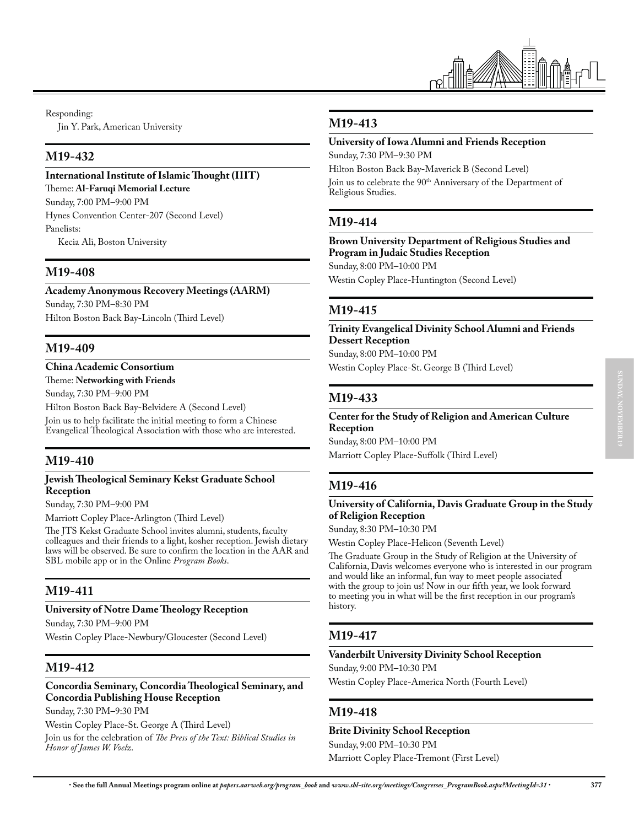

Responding:

Jin Y. Park, American University

## **M19-432**

## **International Institute of Islamic Thought (IIIT)**

Theme: **Al-Faruqi Memorial Lecture** Sunday, 7:00 PM–9:00 PM Hynes Convention Center-207 (Second Level) Panelists:

Kecia Ali, Boston University

## **M19-408**

**Academy Anonymous Recovery Meetings (AARM)** Sunday, 7:30 PM–8:30 PM

Hilton Boston Back Bay-Lincoln (Third Level)

## **M19-409**

### **China Academic Consortium**

Theme: **Networking with Friends**

Sunday, 7:30 PM–9:00 PM

Hilton Boston Back Bay-Belvidere A (Second Level) Join us to help facilitate the initial meeting to form a Chinese

Evangelical Theological Association with those who are interested.

## **M19-410**

#### **Jewish Theological Seminary Kekst Graduate School Reception**

Sunday, 7:30 PM–9:00 PM

Marriott Copley Place-Arlington (Third Level)

The JTS Kekst Graduate School invites alumni, students, faculty colleagues and their friends to a light, kosher reception. Jewish dietary laws will be observed. Be sure to confirm the location in the AAR and SBL mobile app or in the Online *Program Books*.

## **M19-411**

#### **University of Notre Dame Theology Reception**

Sunday, 7:30 PM–9:00 PM Westin Copley Place-Newbury/Gloucester (Second Level)

## **M19-412**

#### **Concordia Seminary, Concordia Theological Seminary, and Concordia Publishing House Reception**

Sunday, 7:30 PM–9:30 PM

Westin Copley Place-St. George A (Third Level)

Join us for the celebration of *The Press of the Text: Biblical Studies in Honor of James W. Voelz*.

## **M19-413**

## **University of Iowa Alumni and Friends Reception**

Sunday, 7:30 PM–9:30 PM

Hilton Boston Back Bay-Maverick B (Second Level)

Join us to celebrate the 90<sup>th</sup> Anniversary of the Department of Religious Studies.

## **M19-414**

#### **Brown University Department of Religious Studies and Program in Judaic Studies Reception**  Sunday, 8:00 PM–10:00 PM

Westin Copley Place-Huntington (Second Level)

## **M19-415**

## **Trinity Evangelical Divinity School Alumni and Friends Dessert Reception**

Sunday, 8:00 PM–10:00 PM Westin Copley Place-St. George B (Third Level)

## **M19-433**

#### **Center for the Study of Religion and American Culture Reception**

Sunday, 8:00 PM–10:00 PM Marriott Copley Place-Suffolk (Third Level)

## **M19-416**

#### **University of California, Davis Graduate Group in the Study of Religion Reception**

Sunday, 8:30 PM–10:30 PM

Westin Copley Place-Helicon (Seventh Level)

The Graduate Group in the Study of Religion at the University of California, Davis welcomes everyone who is interested in our program and would like an informal, fun way to meet people associated with the group to join us! Now in our fifth year, we look forward to meeting you in what will be the first reception in our program's history.

## **M19-417**

## **Vanderbilt University Divinity School Reception**

Sunday, 9:00 PM–10:30 PM

Westin Copley Place-America North (Fourth Level)

## **M19-418**

## **Brite Divinity School Reception**

Sunday, 9:00 PM–10:30 PM Marriott Copley Place-Tremont (First Level)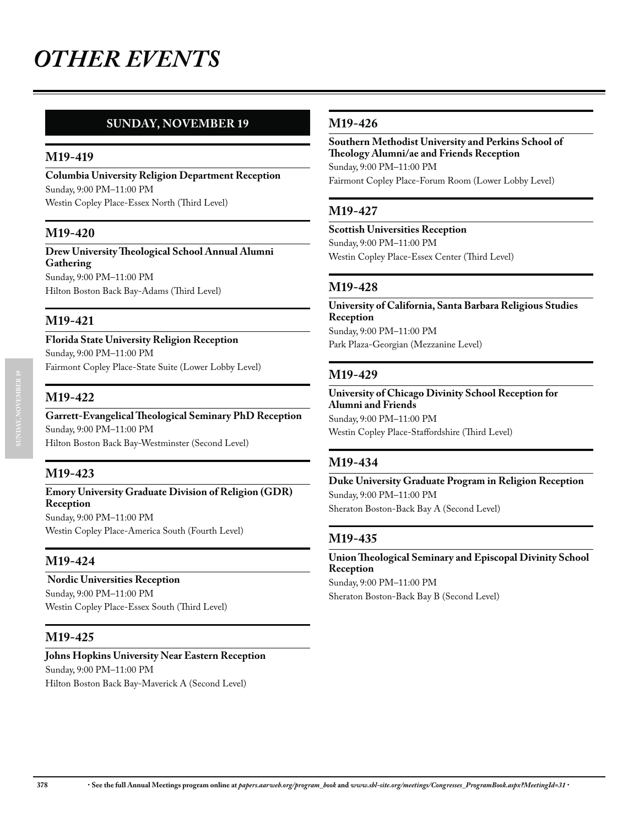## **SUNDAY, NOVEMBER 19**

## **M19-419**

**Columbia University Religion Department Reception**  Sunday, 9:00 PM–11:00 PM Westin Copley Place-Essex North (Third Level)

## **M19-420**

#### **Drew University Theological School Annual Alumni Gathering**  Sunday, 9:00 PM–11:00 PM Hilton Boston Back Bay-Adams (Third Level)

## **M19-421**

**Florida State University Religion Reception**  Sunday, 9:00 PM–11:00 PM Fairmont Copley Place-State Suite (Lower Lobby Level)

### **M19-422**

## **Garrett-Evangelical Theological Seminary PhD Reception**  Sunday, 9:00 PM–11:00 PM

Hilton Boston Back Bay-Westminster (Second Level)

## **M19-423**

#### **Emory University Graduate Division of Religion (GDR) Reception** Sunday, 9:00 PM–11:00 PM

Westin Copley Place-America South (Fourth Level)

## **M19-424**

#### **Nordic Universities Reception**

Sunday, 9:00 PM–11:00 PM Westin Copley Place-Essex South (Third Level)

## **M19-425**

## **Johns Hopkins University Near Eastern Reception**

Sunday, 9:00 PM–11:00 PM

Hilton Boston Back Bay-Maverick A (Second Level)

## **M19-426**

**Southern Methodist University and Perkins School of Theology Alumni/ae and Friends Reception**  Sunday, 9:00 PM–11:00 PM Fairmont Copley Place-Forum Room (Lower Lobby Level)

## **M19-427**

### **Scottish Universities Reception**  Sunday, 9:00 PM–11:00 PM Westin Copley Place-Essex Center (Third Level)

## **M19-428**

**University of California, Santa Barbara Religious Studies Reception**  Sunday, 9:00 PM–11:00 PM Park Plaza-Georgian (Mezzanine Level)

### **M19-429**

**University of Chicago Divinity School Reception for Alumni and Friends**  Sunday, 9:00 PM–11:00 PM Westin Copley Place-Staffordshire (Third Level)

## **M19-434**

**Duke University Graduate Program in Religion Reception**  Sunday, 9:00 PM–11:00 PM Sheraton Boston-Back Bay A (Second Level)

## **M19-435**

#### **Union Theological Seminary and Episcopal Divinity School Reception**  Sunday, 9:00 PM–11:00 PM

Sheraton Boston-Back Bay B (Second Level)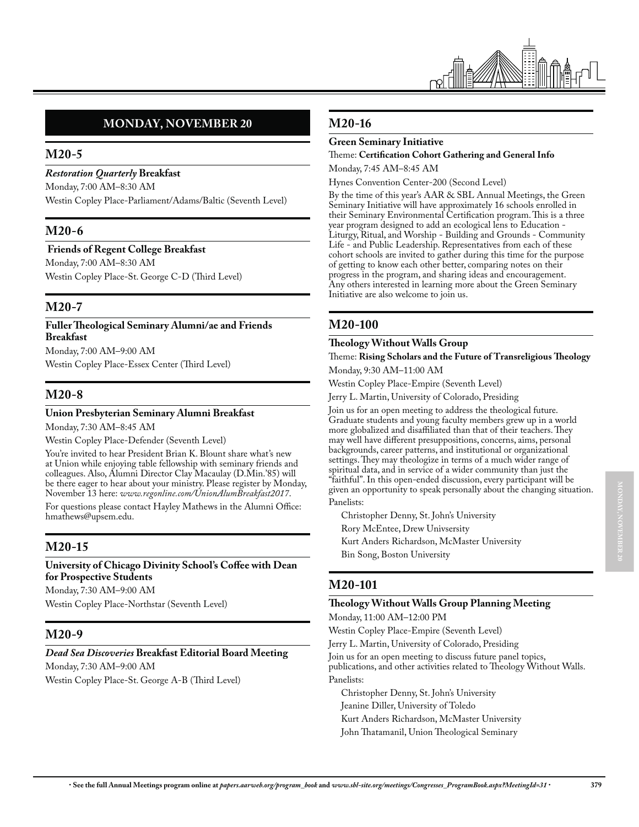

## **MONDAY, NOVEMBER 20**

## **M20-5**

*Restoration Quarterly* **Breakfast** 

Monday, 7:00 AM–8:30 AM

Westin Copley Place-Parliament/Adams/Baltic (Seventh Level)

## **M20-6**

#### **Friends of Regent College Breakfast**

Monday, 7:00 AM–8:30 AM Westin Copley Place-St. George C-D (Third Level)

## **M20-7**

#### **Fuller Theological Seminary Alumni/ae and Friends Breakfast**

Monday, 7:00 AM–9:00 AM Westin Copley Place-Essex Center (Third Level)

## **M20-8**

#### **Union Presbyterian Seminary Alumni Breakfast**

Monday, 7:30 AM–8:45 AM

Westin Copley Place-Defender (Seventh Level)

You're invited to hear President Brian K. Blount share what's new at Union while enjoying table fellowship with seminary friends and colleagues. Also, Alumni Director Clay Macaulay (D.Min.'85) will be there eager to hear about your ministry. Please register by Monday, November 13 here: *www.regonline.com/UnionAlumBreakfast2017*.

For questions please contact Hayley Mathews in the Alumni Office: hmathews@upsem.edu.

## **M20-15**

#### **University of Chicago Divinity School's Coffee with Dean for Prospective Students**

Monday, 7:30 AM–9:00 AM

Westin Copley Place-Northstar (Seventh Level)

## **M20-9**

#### *Dead Sea Discoveries* **Breakfast Editorial Board Meeting**

Monday, 7:30 AM–9:00 AM

Westin Copley Place-St. George A-B (Third Level)

## **M20-16**

#### **Green Seminary Initiative**

#### Theme: **Certification Cohort Gathering and General Info** Monday, 7:45 AM–8:45 AM

Hynes Convention Center-200 (Second Level)

By the time of this year's AAR & SBL Annual Meetings, the Green Seminary Initiative will have approximately 16 schools enrolled in their Seminary Environmental Certification program. This is a three year program designed to add an ecological lens to Education - Liturgy, Ritual, and Worship - Building and Grounds - Community Life - and Public Leadership. Representatives from each of these cohort schools are invited to gather during this time for the purpose of getting to know each other better, comparing notes on their progress in the program, and sharing ideas and encouragement. Any others interested in learning more about the Green Seminary Initiative are also welcome to join us.

## **M20-100**

#### **Theology Without Walls Group** Theme: **Rising Scholars and the Future of Transreligious Theology**

Monday, 9:30 AM–11:00 AM

Westin Copley Place-Empire (Seventh Level)

Jerry L. Martin, University of Colorado, Presiding

Join us for an open meeting to address the theological future. Graduate students and young faculty members grew up in a world more globalized and disaffiliated than that of their teachers. They may well have different presuppositions, concerns, aims, personal backgrounds, career patterns, and institutional or organizational settings. They may theologize in terms of a much wider range of spiritual data, and in service of a wider community than just the "faithful". In this open-ended discussion, every participant will be given an opportunity to speak personally about the changing situation. Panelists:

Christopher Denny, St. John's University Rory McEntee, Drew Univsersity Kurt Anders Richardson, McMaster University Bin Song, Boston University

## **M20-101**

#### **Theology Without Walls Group Planning Meeting**

Monday, 11:00 AM–12:00 PM

Westin Copley Place-Empire (Seventh Level)

Jerry L. Martin, University of Colorado, Presiding

Join us for an open meeting to discuss future panel topics, publications, and other activities related to Theology Without Walls. Panelists:

Christopher Denny, St. John's University

Jeanine Diller, University of Toledo

Kurt Anders Richardson, McMaster University

John Thatamanil, Union Theological Seminary